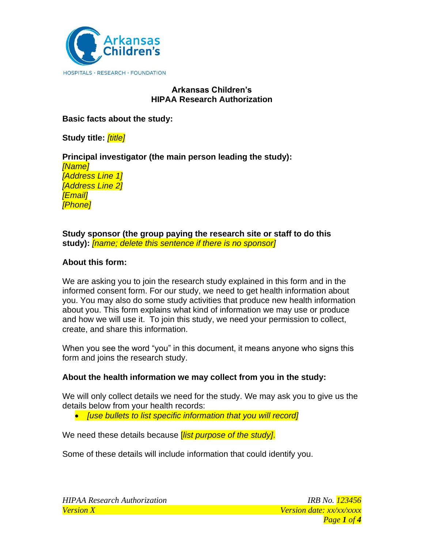

# **Arkansas Children's HIPAA Research Authorization**

**Basic facts about the study:**

**Study title:** *[title]*

**Principal investigator (the main person leading the study):**  *[Name] [Address Line 1] [Address Line 2] [Email] [Phone]*

**Study sponsor (the group paying the research site or staff to do this study):** *[name; delete this sentence if there is no sponsor]*

# **About this form:**

We are asking you to join the research study explained in this form and in the informed consent form. For our study, we need to get health information about you. You may also do some study activities that produce new health information about you. This form explains what kind of information we may use or produce and how we will use it. To join this study, we need your permission to collect, create, and share this information.

When you see the word "you" in this document, it means anyone who signs this form and joins the research study.

# **About the health information we may collect from you in the study:**

We will only collect details we need for the study. We may ask you to give us the details below from your health records:

• *[use bullets to list specific information that you will record]*

We need these details because [*list purpose of the study]*.

Some of these details will include information that could identify you.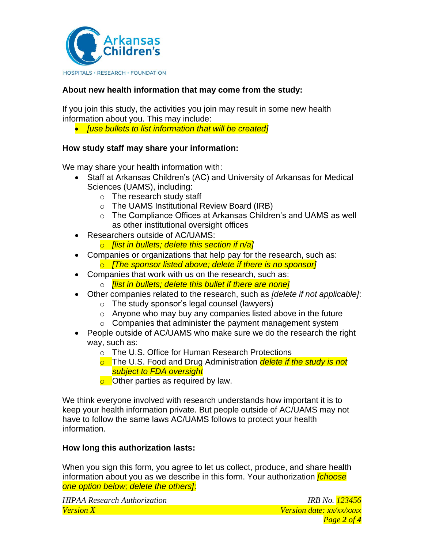

# **About new health information that may come from the study:**

If you join this study, the activities you join may result in some new health information about you. This may include:

• *[use bullets to list information that will be created]*

## **How study staff may share your information:**

We may share your health information with:

- Staff at Arkansas Children's (AC) and University of Arkansas for Medical Sciences (UAMS), including:
	- o The research study staff
	- o The UAMS Institutional Review Board (IRB)
	- o The Compliance Offices at Arkansas Children's and UAMS as well as other institutional oversight offices
- Researchers outside of AC/UAMS:
	- o *[list in bullets; delete this section if n/a]*
- Companies or organizations that help pay for the research, such as: o *[The sponsor listed above; delete if there is no sponsor]*
- Companies that work with us on the research, such as:
	- o *[list in bullets; delete this bullet if there are none]*
- Other companies related to the research, such as *[delete if not applicable]*:
	- o The study sponsor's legal counsel (lawyers)
	- $\circ$  Anyone who may buy any companies listed above in the future
	- $\circ$  Companies that administer the payment management system
- People outside of AC/UAMS who make sure we do the research the right way, such as:
	- o The U.S. Office for Human Research Protections
	- o The U.S. Food and Drug Administration *delete if the study is not subject to FDA oversight*
	- $\circ$  Other parties as required by law.

We think everyone involved with research understands how important it is to keep your health information private. But people outside of AC/UAMS may not have to follow the same laws AC/UAMS follows to protect your health information.

## **How long this authorization lasts:**

When you sign this form, you agree to let us collect, produce, and share health information about you as we describe in this form. Your authorization *[choose one option below; delete the others]*:

*HIPAA Research Authorization IRB No. 123456 Version X Version date: xx/xx/xxxx*

*Page 2 of 4*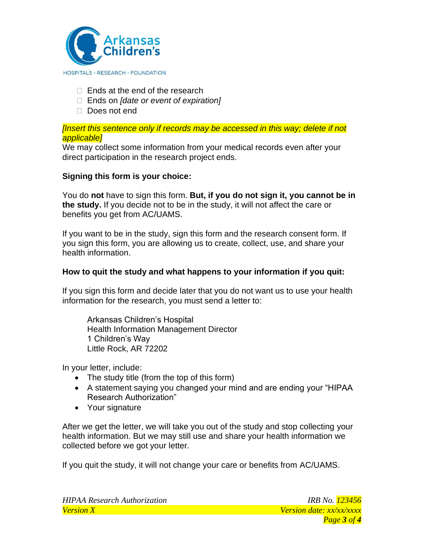

- $\Box$  Ends at the end of the research
- Ends on *[date or event of expiration]*
- Does not end

#### *[Insert this sentence only if records may be accessed in this way; delete if not applicable]*

We may collect some information from your medical records even after your direct participation in the research project ends.

# **Signing this form is your choice:**

You do **not** have to sign this form. **But, if you do not sign it, you cannot be in the study.** If you decide not to be in the study, it will not affect the care or benefits you get from AC/UAMS.

If you want to be in the study, sign this form and the research consent form. If you sign this form, you are allowing us to create, collect, use, and share your health information.

# **How to quit the study and what happens to your information if you quit:**

If you sign this form and decide later that you do not want us to use your health information for the research, you must send a letter to:

Arkansas Children's Hospital Health Information Management Director 1 Children's Way Little Rock, AR 72202

In your letter, include:

- The study title (from the top of this form)
- A statement saying you changed your mind and are ending your "HIPAA Research Authorization"
- Your signature

After we get the letter, we will take you out of the study and stop collecting your health information. But we may still use and share your health information we collected before we got your letter.

If you quit the study, it will not change your care or benefits from AC/UAMS.